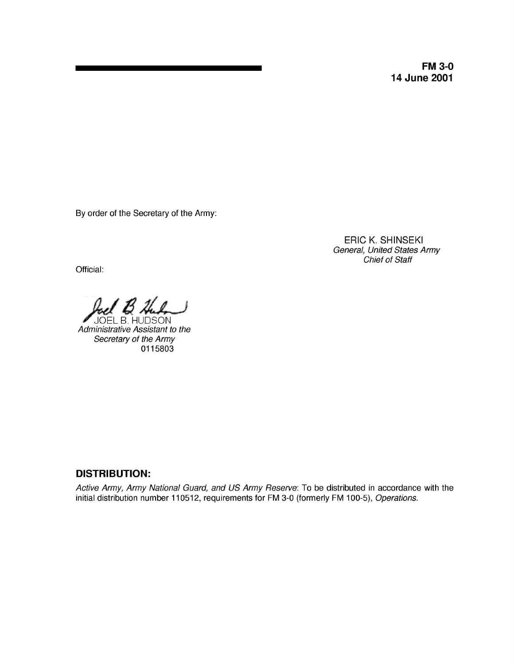**FM 3-0 14 June 2001**

By order of the Secretary of the Army:

ERIC K. SHINSEKI General, United States Army Chief of Staff

Official:

*126/Li* /LI, ~

JOEL B. HUDSO Administrative Assistant to the Secretary of the Army 0115803

## **DISTRIBUTION:**

Active Army, Army National Guard, and US Army Reserve: To be distributed in accordance with the initial distribution number 110512, requirements for FM 3-0 (formerly FM 100-5), Operations.